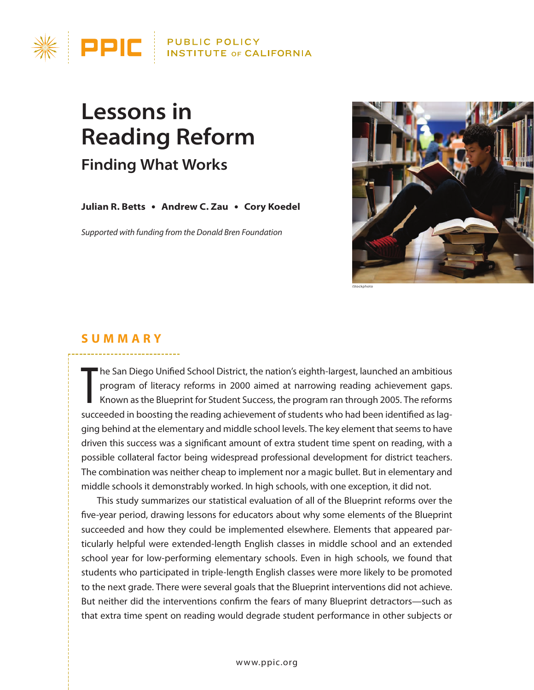

# **Lessons in Reading Reform Finding What Works**

**Julian R. Betts** ● **Andrew C. Zau** ● **Cory Koedel**

*Supported with funding from the Donald Bren Foundation*



#### **Summary**

The San Diego Unified School District, the nation's eighth-largest, launched an ambitious<br>program of literacy reforms in 2000 aimed at narrowing reading achievement gaps.<br>Known as the Blueprint for Student Success, the pro he San Diego Unified School District, the nation's eighth-largest, launched an ambitious program of literacy reforms in 2000 aimed at narrowing reading achievement gaps. Known as the Blueprint for Student Success, the program ran through 2005. The reforms ging behind at the elementary and middle school levels. The key element that seems to have driven this success was a significant amount of extra student time spent on reading, with a possible collateral factor being widespread professional development for district teachers. The combination was neither cheap to implement nor a magic bullet. But in elementary and middle schools it demonstrably worked. In high schools, with one exception, it did not.

This study summarizes our statistical evaluation of all of the Blueprint reforms over the five-year period, drawing lessons for educators about why some elements of the Blueprint succeeded and how they could be implemented elsewhere. Elements that appeared particularly helpful were extended-length English classes in middle school and an extended school year for low-performing elementary schools. Even in high schools, we found that students who participated in triple-length English classes were more likely to be promoted to the next grade. There were several goals that the Blueprint interventions did not achieve. But neither did the interventions confirm the fears of many Blueprint detractors—such as that extra time spent on reading would degrade student performance in other subjects or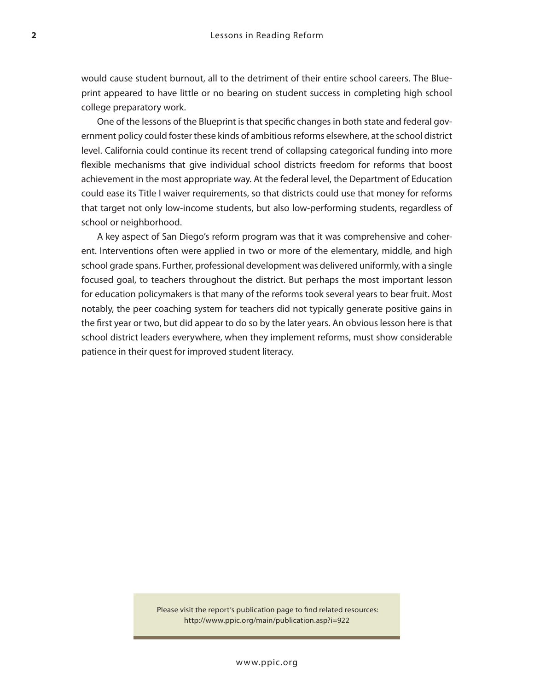would cause student burnout, all to the detriment of their entire school careers. The Blueprint appeared to have little or no bearing on student success in completing high school college preparatory work.

One of the lessons of the Blueprint is that specific changes in both state and federal government policy could foster these kinds of ambitious reforms elsewhere, at the school district level. California could continue its recent trend of collapsing categorical funding into more flexible mechanisms that give individual school districts freedom for reforms that boost achievement in the most appropriate way. At the federal level, the Department of Education could ease its Title I waiver requirements, so that districts could use that money for reforms that target not only low-income students, but also low-performing students, regardless of school or neighborhood.

A key aspect of San Diego's reform program was that it was comprehensive and coherent. Interventions often were applied in two or more of the elementary, middle, and high school grade spans. Further, professional development was delivered uniformly, with a single focused goal, to teachers throughout the district. But perhaps the most important lesson for education policymakers is that many of the reforms took several years to bear fruit. Most notably, the peer coaching system for teachers did not typically generate positive gains in the first year or two, but did appear to do so by the later years. An obvious lesson here is that school district leaders everywhere, when they implement reforms, must show considerable patience in their quest for improved student literacy.

> Please visit the report's publication page to find related resources: http://www.ppic.org/main/publication.asp?i=922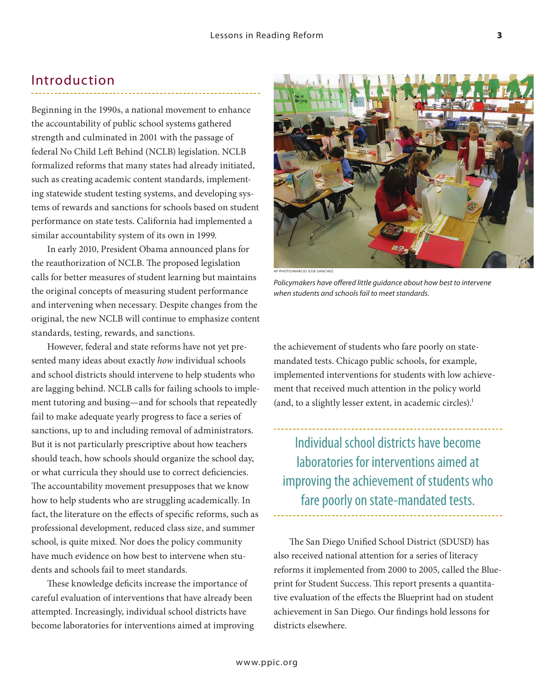### Introduction

Beginning in the 1990s, a national movement to enhance the accountability of public school systems gathered strength and culminated in 2001 with the passage of federal No Child Left Behind (NCLB) legislation. NCLB formalized reforms that many states had already initiated, such as creating academic content standards, implementing statewide student testing systems, and developing systems of rewards and sanctions for schools based on student performance on state tests. California had implemented a similar accountability system of its own in 1999.

In early 2010, President Obama announced plans for the reauthorization of NCLB. The proposed legislation calls for better measures of student learning but maintains the original concepts of measuring student performance and intervening when necessary. Despite changes from the original, the new NCLB will continue to emphasize content standards, testing, rewards, and sanctions.

However, federal and state reforms have not yet presented many ideas about exactly *how* individual schools and school districts should intervene to help students who are lagging behind. NCLB calls for failing schools to implement tutoring and busing—and for schools that repeatedly fail to make adequate yearly progress to face a series of sanctions, up to and including removal of administrators. But it is not particularly prescriptive about how teachers should teach, how schools should organize the school day, or what curricula they should use to correct deficiencies. The accountability movement presupposes that we know how to help students who are struggling academically. In fact, the literature on the effects of specific reforms, such as professional development, reduced class size, and summer school, is quite mixed. Nor does the policy community have much evidence on how best to intervene when students and schools fail to meet standards.

These knowledge deficits increase the importance of careful evaluation of interventions that have already been attempted. Increasingly, individual school districts have become laboratories for interventions aimed at improving



the achievement of students who fare poorly on statemandated tests. Chicago public schools, for example, implemented interventions for students with low achievement that received much attention in the policy world (and, to a slightly lesser extent, in academic circles).<sup>1</sup>

Individual school districts have become laboratories for interventions aimed at improving the achievement of students who fare poorly on state-mandated tests.

The San Diego Unified School District (SDUSD) has also received national attention for a series of literacy reforms it implemented from 2000 to 2005, called the Blueprint for Student Success. This report presents a quantitative evaluation of the effects the Blueprint had on student achievement in San Diego. Our findings hold lessons for districts elsewhere.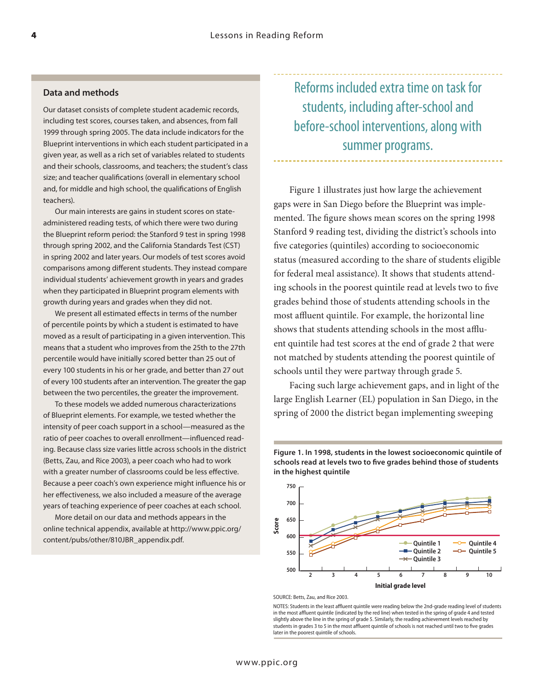#### **Data and methods**

Our dataset consists of complete student academic records, including test scores, courses taken, and absences, from fall 1999 through spring 2005. The data include indicators for the Blueprint interventions in which each student participated in a given year, as well as a rich set of variables related to students and their schools, classrooms, and teachers; the student's class size; and teacher qualifications (overall in elementary school and, for middle and high school, the qualifications of English teachers).

 Our main interests are gains in student scores on stateadministered reading tests, of which there were two during the Blueprint reform period: the Stanford 9 test in spring 1998 through spring 2002, and the California Standards Test (CST) in spring 2002 and later years. Our models of test scores avoid comparisons among different students. They instead compare individual students' achievement growth in years and grades when they participated in Blueprint program elements with growth during years and grades when they did not.

 We present all estimated effects in terms of the number of percentile points by which a student is estimated to have moved as a result of participating in a given intervention. This means that a student who improves from the 25th to the 27th percentile would have initially scored better than 25 out of every 100 students in his or her grade, and better than 27 out of every 100 students after an intervention. The greater the gap between the two percentiles, the greater the improvement.

 To these models we added numerous characterizations of Blueprint elements. For example, we tested whether the intensity of peer coach support in a school—measured as the ratio of peer coaches to overall enrollment—influenced reading. Because class size varies little across schools in the district (Betts, Zau, and Rice 2003), a peer coach who had to work with a greater number of classrooms could be less effective. Because a peer coach's own experience might influence his or her effectiveness, we also included a measure of the average years of teaching experience of peer coaches at each school.

 More detail on our data and methods appears in the online technical appendix, available at http://www.ppic.org/ content/pubs/other/810JBR\_appendix.pdf.

Reforms included extra time on task for students, including after-school and before-school interventions, along with summer programs.

Figure 1 illustrates just how large the achievement gaps were in San Diego before the Blueprint was implemented. The figure shows mean scores on the spring 1998 Stanford 9 reading test, dividing the district's schools into five categories (quintiles) according to socioeconomic status (measured according to the share of students eligible for federal meal assistance). It shows that students attending schools in the poorest quintile read at levels two to five grades behind those of students attending schools in the most affluent quintile. For example, the horizontal line shows that students attending schools in the most affluent quintile had test scores at the end of grade 2 that were not matched by students attending the poorest quintile of schools until they were partway through grade 5.

Facing such large achievement gaps, and in light of the large English Learner (EL) population in San Diego, in the spring of 2000 the district began implementing sweeping

**Figure 1. In 1998, students in the lowest socioeconomic quintile of schools read at levels two to five grades behind those of students in the highest quintile** 



SOURCE: Betts, Zau, and Rice 2003.

NOTES: Students in the least affluent quintile were reading below the 2nd-grade reading level of students in the most affluent quintile (indicated by the red line) when tested in the spring of grade 4 and tested slightly above the line in the spring of grade 5. Similarly, the reading achievement levels reached by students in grades 3 to 5 in the most affluent quintile of schools is not reached until two to five grades later in the poorest quintile of schools.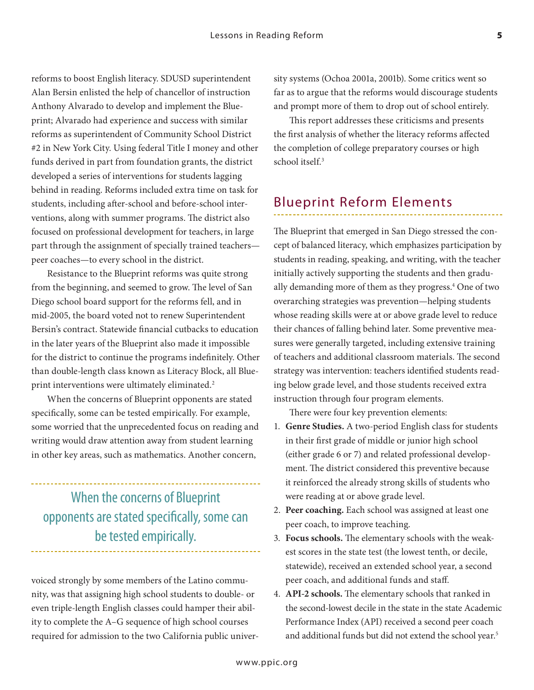reforms to boost English literacy. SDUSD superintendent Alan Bersin enlisted the help of chancellor of instruction Anthony Alvarado to develop and implement the Blueprint; Alvarado had experience and success with similar reforms as superintendent of Community School District #2 in New York City. Using federal Title I money and other funds derived in part from foundation grants, the district developed a series of interventions for students lagging behind in reading. Reforms included extra time on task for students, including after-school and before-school interventions, along with summer programs. The district also focused on professional development for teachers, in large part through the assignment of specially trained teachers peer coaches—to every school in the district.

Resistance to the Blueprint reforms was quite strong from the beginning, and seemed to grow. The level of San Diego school board support for the reforms fell, and in mid-2005, the board voted not to renew Superintendent Bersin's contract. Statewide financial cutbacks to education in the later years of the Blueprint also made it impossible for the district to continue the programs indefinitely. Other than double-length class known as Literacy Block, all Blueprint interventions were ultimately eliminated.<sup>2</sup>

When the concerns of Blueprint opponents are stated specifically, some can be tested empirically. For example, some worried that the unprecedented focus on reading and writing would draw attention away from student learning in other key areas, such as mathematics. Another concern,

When the concerns of Blueprint opponents are stated specifically, some can be tested empirically.

voiced strongly by some members of the Latino community, was that assigning high school students to double- or even triple-length English classes could hamper their ability to complete the A–G sequence of high school courses required for admission to the two California public university systems (Ochoa 2001a, 2001b). Some critics went so far as to argue that the reforms would discourage students and prompt more of them to drop out of school entirely.

This report addresses these criticisms and presents the first analysis of whether the literacy reforms affected the completion of college preparatory courses or high school itself.3

## Blueprint Reform Elements

The Blueprint that emerged in San Diego stressed the concept of balanced literacy, which emphasizes participation by students in reading, speaking, and writing, with the teacher initially actively supporting the students and then gradually demanding more of them as they progress.4 One of two overarching strategies was prevention—helping students whose reading skills were at or above grade level to reduce their chances of falling behind later. Some preventive measures were generally targeted, including extensive training of teachers and additional classroom materials. The second strategy was intervention: teachers identified students reading below grade level, and those students received extra instruction through four program elements.

There were four key prevention elements:

- 1. **Genre Studies.** A two-period English class for students in their first grade of middle or junior high school (either grade 6 or 7) and related professional development. The district considered this preventive because it reinforced the already strong skills of students who were reading at or above grade level.
- 2. **Peer coaching.** Each school was assigned at least one peer coach, to improve teaching.
- 3. **Focus schools.** The elementary schools with the weakest scores in the state test (the lowest tenth, or decile, statewide), received an extended school year, a second peer coach, and additional funds and staff.
- 4. **API-2 schools.** The elementary schools that ranked in the second-lowest decile in the state in the state Academic Performance Index (API) received a second peer coach and additional funds but did not extend the school year.<sup>5</sup>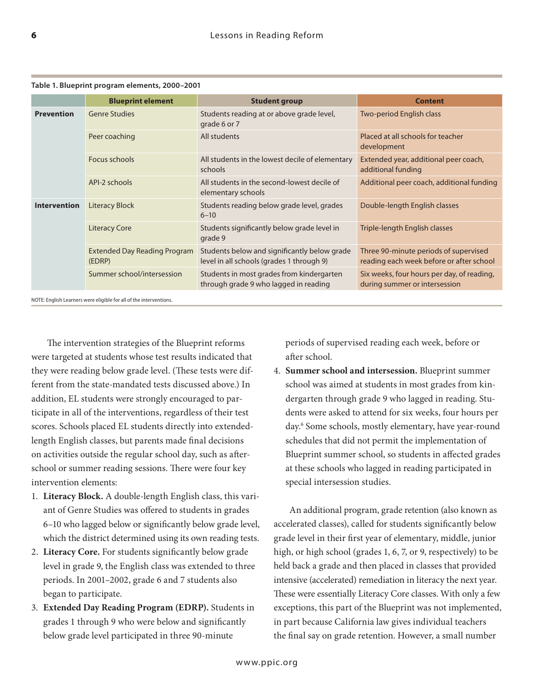|                     | <b>Blueprint element</b>                      | <b>Student group</b>                                                                      | <b>Content</b>                                                                    |
|---------------------|-----------------------------------------------|-------------------------------------------------------------------------------------------|-----------------------------------------------------------------------------------|
| <b>Prevention</b>   | <b>Genre Studies</b>                          | Students reading at or above grade level,<br>grade 6 or 7                                 | Two-period English class                                                          |
|                     | Peer coaching                                 | All students                                                                              | Placed at all schools for teacher<br>development                                  |
|                     | Focus schools                                 | All students in the lowest decile of elementary<br>schools                                | Extended year, additional peer coach,<br>additional funding                       |
|                     | API-2 schools                                 | All students in the second-lowest decile of<br>elementary schools                         | Additional peer coach, additional funding                                         |
| <b>Intervention</b> | <b>Literacy Block</b>                         | Students reading below grade level, grades<br>$6 - 10$                                    | Double-length English classes                                                     |
|                     | <b>Literacy Core</b>                          | Students significantly below grade level in<br>grade 9                                    | Triple-length English classes                                                     |
|                     | <b>Extended Day Reading Program</b><br>(EDRP) | Students below and significantly below grade<br>level in all schools (grades 1 through 9) | Three 90-minute periods of supervised<br>reading each week before or after school |
|                     | Summer school/intersession                    | Students in most grades from kindergarten<br>through grade 9 who lagged in reading        | Six weeks, four hours per day, of reading,<br>during summer or intersession       |

**Table 1. Blueprint program elements, 2000–2001**

NOTE: English Learners were eligible for all of the interventions.

The intervention strategies of the Blueprint reforms were targeted at students whose test results indicated that they were reading below grade level. (These tests were different from the state-mandated tests discussed above.) In addition, EL students were strongly encouraged to participate in all of the interventions, regardless of their test scores. Schools placed EL students directly into extendedlength English classes, but parents made final decisions on activities outside the regular school day, such as afterschool or summer reading sessions. There were four key intervention elements:

- 1. **Literacy Block.** A double-length English class, this variant of Genre Studies was offered to students in grades 6–10 who lagged below or significantly below grade level, which the district determined using its own reading tests.
- 2. **Literacy Core.** For students significantly below grade level in grade 9, the English class was extended to three periods. In 2001–2002, grade 6 and 7 students also began to participate.
- 3. **Extended Day Reading Program (EDRP).** Students in grades 1 through 9 who were below and significantly below grade level participated in three 90-minute

periods of supervised reading each week, before or after school.

4. **Summer school and intersession.** Blueprint summer school was aimed at students in most grades from kindergarten through grade 9 who lagged in reading. Students were asked to attend for six weeks, four hours per day.6 Some schools, mostly elementary, have year-round schedules that did not permit the implementation of Blueprint summer school, so students in affected grades at these schools who lagged in reading participated in special intersession studies.

An additional program, grade retention (also known as accelerated classes), called for students significantly below grade level in their first year of elementary, middle, junior high, or high school (grades 1, 6, 7, or 9, respectively) to be held back a grade and then placed in classes that provided intensive (accelerated) remediation in literacy the next year. These were essentially Literacy Core classes. With only a few exceptions, this part of the Blueprint was not implemented, in part because California law gives individual teachers the final say on grade retention. However, a small number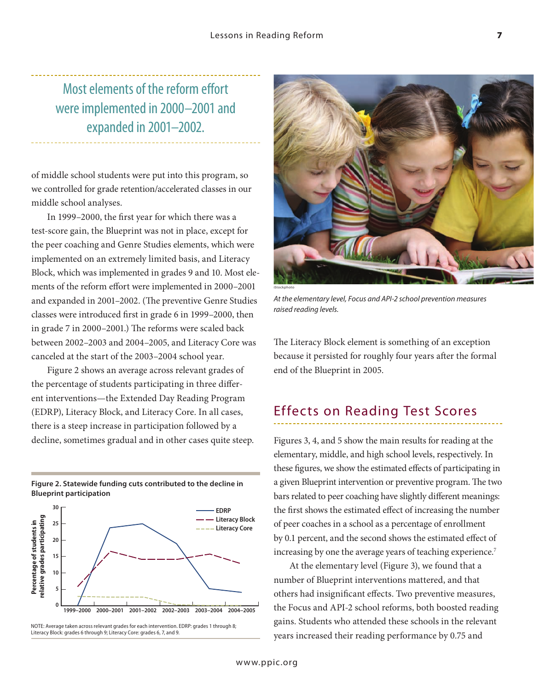Most elements of the reform effort were implemented in 2000–2001 and expanded in 2001–2002.

of middle school students were put into this program, so we controlled for grade retention/accelerated classes in our middle school analyses.

In 1999–2000, the first year for which there was a test-score gain, the Blueprint was not in place, except for the peer coaching and Genre Studies elements, which were implemented on an extremely limited basis, and Literacy Block, which was implemented in grades 9 and 10. Most elements of the reform effort were implemented in 2000–2001 and expanded in 2001–2002. (The preventive Genre Studies classes were introduced first in grade 6 in 1999–2000, then in grade 7 in 2000–2001.) The reforms were scaled back between 2002–2003 and 2004–2005, and Literacy Core was canceled at the start of the 2003–2004 school year.

Figure 2 shows an average across relevant grades of the percentage of students participating in three different interventions—the Extended Day Reading Program (EDRP), Literacy Block, and Literacy Core. In all cases, there is a steep increase in participation followed by a decline, sometimes gradual and in other cases quite steep.







*At the elementary level, Focus and API-2 school prevention measures raised reading levels.*

The Literacy Block element is something of an exception because it persisted for roughly four years after the formal end of the Blueprint in 2005.

#### Effects on Reading Test Scores

Figures 3, 4, and 5 show the main results for reading at the elementary, middle, and high school levels, respectively. In these figures, we show the estimated effects of participating in a given Blueprint intervention or preventive program. The two bars related to peer coaching have slightly different meanings: the first shows the estimated effect of increasing the number of peer coaches in a school as a percentage of enrollment by 0.1 percent, and the second shows the estimated effect of increasing by one the average years of teaching experience.<sup>7</sup>

At the elementary level (Figure 3), we found that a number of Blueprint interventions mattered, and that others had insignificant effects. Two preventive measures, the Focus and API-2 school reforms, both boosted reading gains. Students who attended these schools in the relevant years increased their reading performance by 0.75 and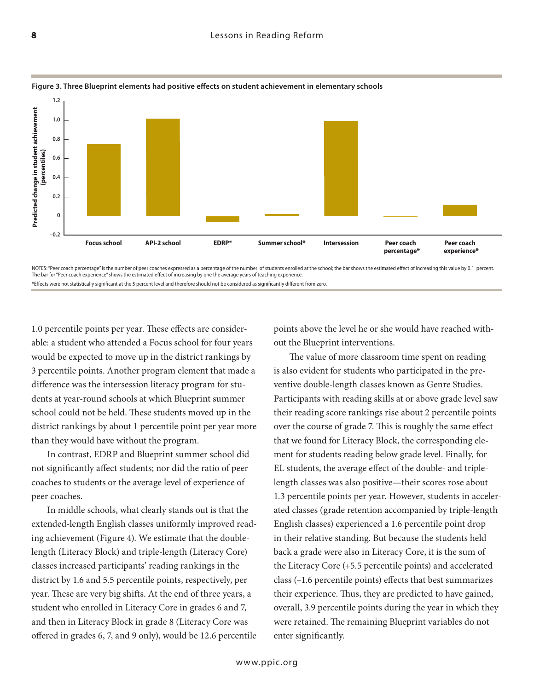

#### **Figure 3. Three Blueprint elements had positive effects on student achievement in elementary schools**

NOTES: "Peer coach percentage" is the number of peer coaches expressed as a percentage of the number of students enrolled at the school; the bar shows the estimated effect of increasing this value by 0.1 percent. The bar for "Peer coach experience" shows the estimated effect of increasing by one the average years of teaching experience. \*Effects were not statistically significant at the 5 percent level and therefore should not be considered as significantly different from zero.

1.0 percentile points per year. These effects are considerable: a student who attended a Focus school for four years would be expected to move up in the district rankings by 3 percentile points. Another program element that made a difference was the intersession literacy program for students at year-round schools at which Blueprint summer school could not be held. These students moved up in the district rankings by about 1 percentile point per year more than they would have without the program.

In contrast, EDRP and Blueprint summer school did not significantly affect students; nor did the ratio of peer coaches to students or the average level of experience of peer coaches.

In middle schools, what clearly stands out is that the extended-length English classes uniformly improved reading achievement (Figure 4). We estimate that the doublelength (Literacy Block) and triple-length (Literacy Core) classes increased participants' reading rankings in the district by 1.6 and 5.5 percentile points, respectively, per year. These are very big shifts. At the end of three years, a student who enrolled in Literacy Core in grades 6 and 7, and then in Literacy Block in grade 8 (Literacy Core was offered in grades 6, 7, and 9 only), would be 12.6 percentile points above the level he or she would have reached without the Blueprint interventions.

The value of more classroom time spent on reading is also evident for students who participated in the preventive double-length classes known as Genre Studies. Participants with reading skills at or above grade level saw their reading score rankings rise about 2 percentile points over the course of grade 7. This is roughly the same effect that we found for Literacy Block, the corresponding element for students reading below grade level. Finally, for EL students, the average effect of the double- and triplelength classes was also positive—their scores rose about 1.3 percentile points per year. However, students in accelerated classes (grade retention accompanied by triple-length English classes) experienced a 1.6 percentile point drop in their relative standing. But because the students held back a grade were also in Literacy Core, it is the sum of the Literacy Core (+5.5 percentile points) and accelerated class (–1.6 percentile points) effects that best summarizes their experience. Thus, they are predicted to have gained, overall, 3.9 percentile points during the year in which they were retained. The remaining Blueprint variables do not enter significantly.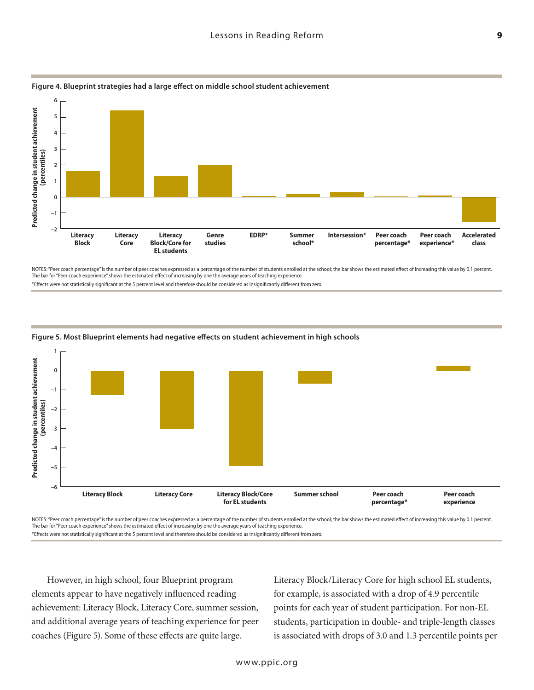

**Figure 4. Blueprint strategies had a large effect on middle school student achievement** 

NOTES: "Peer coach percentage" is the number of peer coaches expressed as a percentage of the number of students enrolled at the school; the bar shows the estimated effect of increasing this value by 0.1 percent. The bar for "Peer coach experience" shows the estimated effect of increasing by one the average years of teaching experience.

\*Effects were not statistically significant at the 5 percent level and therefore should be considered as insignificantly different from zero.



#### **Figure 5. Most Blueprint elements had negative effects on student achievement in high schools**

NOTES: "Peer coach percentage" is the number of peer coaches expressed as a percentage of the number of students enrolled at the school; the bar shows the estimated effect of increasing this value by 0.1 percent. The bar for "Peer coach experience" shows the estimated effect of increasing by one the average years of teaching experience.

However, in high school, four Blueprint program elements appear to have negatively influenced reading achievement: Literacy Block, Literacy Core, summer session, and additional average years of teaching experience for peer coaches (Figure 5). Some of these effects are quite large.

Literacy Block/Literacy Core for high school EL students, for example, is associated with a drop of 4.9 percentile points for each year of student participation. For non-EL students, participation in double- and triple-length classes is associated with drops of 3.0 and 1.3 percentile points per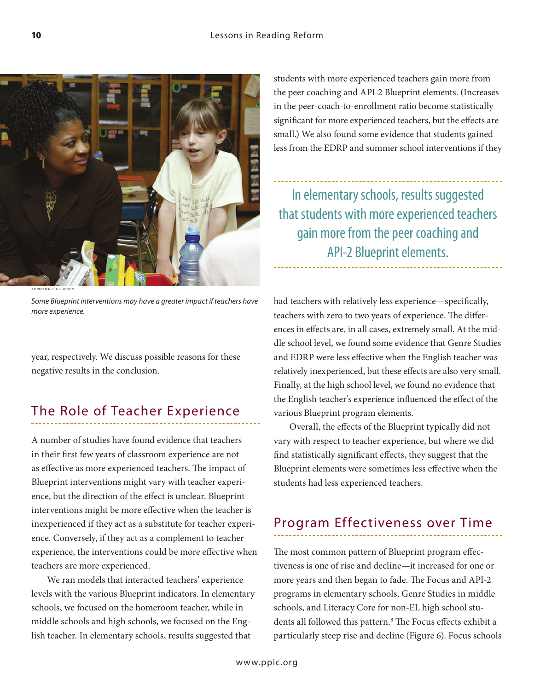

AP Photo/LiSA hudSon

*Some Blueprint interventions may have a greater impact if teachers have more experience.* 

year, respectively. We discuss possible reasons for these negative results in the conclusion.

#### The Role of Teacher Experience

A number of studies have found evidence that teachers in their first few years of classroom experience are not as effective as more experienced teachers. The impact of Blueprint interventions might vary with teacher experience, but the direction of the effect is unclear. Blueprint interventions might be more effective when the teacher is inexperienced if they act as a substitute for teacher experience. Conversely, if they act as a complement to teacher experience, the interventions could be more effective when teachers are more experienced.

We ran models that interacted teachers' experience levels with the various Blueprint indicators. In elementary schools, we focused on the homeroom teacher, while in middle schools and high schools, we focused on the English teacher. In elementary schools, results suggested that

students with more experienced teachers gain more from the peer coaching and API-2 Blueprint elements. (Increases in the peer-coach-to-enrollment ratio become statistically significant for more experienced teachers, but the effects are small.) We also found some evidence that students gained less from the EDRP and summer school interventions if they

In elementary schools, results suggested that students with more experienced teachers gain more from the peer coaching and API-2 Blueprint elements.

had teachers with relatively less experience—specifically, teachers with zero to two years of experience. The differences in effects are, in all cases, extremely small. At the middle school level, we found some evidence that Genre Studies and EDRP were less effective when the English teacher was relatively inexperienced, but these effects are also very small. Finally, at the high school level, we found no evidence that the English teacher's experience influenced the effect of the various Blueprint program elements.

Overall, the effects of the Blueprint typically did not vary with respect to teacher experience, but where we did find statistically significant effects, they suggest that the Blueprint elements were sometimes less effective when the students had less experienced teachers.

## Program Effectiveness over Time

The most common pattern of Blueprint program effectiveness is one of rise and decline—it increased for one or more years and then began to fade. The Focus and API-2 programs in elementary schools, Genre Studies in middle schools, and Literacy Core for non-EL high school students all followed this pattern.<sup>8</sup> The Focus effects exhibit a particularly steep rise and decline (Figure 6). Focus schools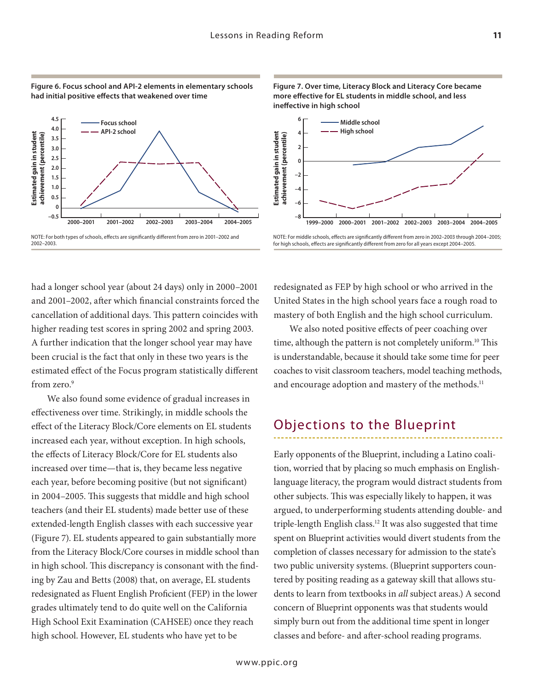



had a longer school year (about 24 days) only in 2000–2001 and 2001–2002, after which financial constraints forced the cancellation of additional days. This pattern coincides with higher reading test scores in spring 2002 and spring 2003. A further indication that the longer school year may have been crucial is the fact that only in these two years is the estimated effect of the Focus program statistically different from zero.<sup>9</sup>

We also found some evidence of gradual increases in effectiveness over time. Strikingly, in middle schools the effect of the Literacy Block/Core elements on EL students increased each year, without exception. In high schools, the effects of Literacy Block/Core for EL students also increased over time—that is, they became less negative each year, before becoming positive (but not significant) in 2004–2005. This suggests that middle and high school teachers (and their EL students) made better use of these extended-length English classes with each successive year (Figure 7). EL students appeared to gain substantially more from the Literacy Block/Core courses in middle school than in high school. This discrepancy is consonant with the finding by Zau and Betts (2008) that, on average, EL students redesignated as Fluent English Proficient (FEP) in the lower grades ultimately tend to do quite well on the California High School Exit Examination (CAHSEE) once they reach high school. However, EL students who have yet to be



**Figure 7. Over time, Literacy Block and Literacy Core became more effective for EL students in middle school, and less ineffective in high school**

redesignated as FEP by high school or who arrived in the United States in the high school years face a rough road to mastery of both English and the high school curriculum.

We also noted positive effects of peer coaching over time, although the pattern is not completely uniform.<sup>10</sup> This is understandable, because it should take some time for peer coaches to visit classroom teachers, model teaching methods, and encourage adoption and mastery of the methods.<sup>11</sup>

## Objections to the Blueprint

Early opponents of the Blueprint, including a Latino coalition, worried that by placing so much emphasis on Englishlanguage literacy, the program would distract students from other subjects. This was especially likely to happen, it was argued, to underperforming students attending double- and triple-length English class.12 It was also suggested that time spent on Blueprint activities would divert students from the completion of classes necessary for admission to the state's two public university systems. (Blueprint supporters countered by positing reading as a gateway skill that allows students to learn from textbooks in *all* subject areas.) A second concern of Blueprint opponents was that students would simply burn out from the additional time spent in longer classes and before- and after-school reading programs.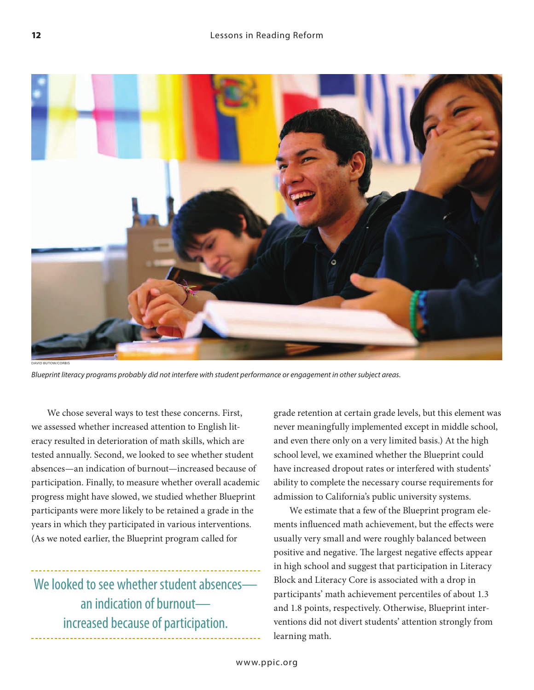

*Blueprint literacy programs probably did not interfere with student performance or engagement in other subject areas.* 

We chose several ways to test these concerns. First, we assessed whether increased attention to English literacy resulted in deterioration of math skills, which are tested annually. Second, we looked to see whether student absences—an indication of burnout—increased because of participation. Finally, to measure whether overall academic progress might have slowed, we studied whether Blueprint participants were more likely to be retained a grade in the years in which they participated in various interventions. (As we noted earlier, the Blueprint program called for

We looked to see whether student absencesan indication of burnout increased because of participation.

grade retention at certain grade levels, but this element was never meaningfully implemented except in middle school, and even there only on a very limited basis.) At the high school level, we examined whether the Blueprint could have increased dropout rates or interfered with students' ability to complete the necessary course requirements for admission to California's public university systems.

We estimate that a few of the Blueprint program elements influenced math achievement, but the effects were usually very small and were roughly balanced between positive and negative. The largest negative effects appear in high school and suggest that participation in Literacy Block and Literacy Core is associated with a drop in participants' math achievement percentiles of about 1.3 and 1.8 points, respectively. Otherwise, Blueprint interventions did not divert students' attention strongly from learning math.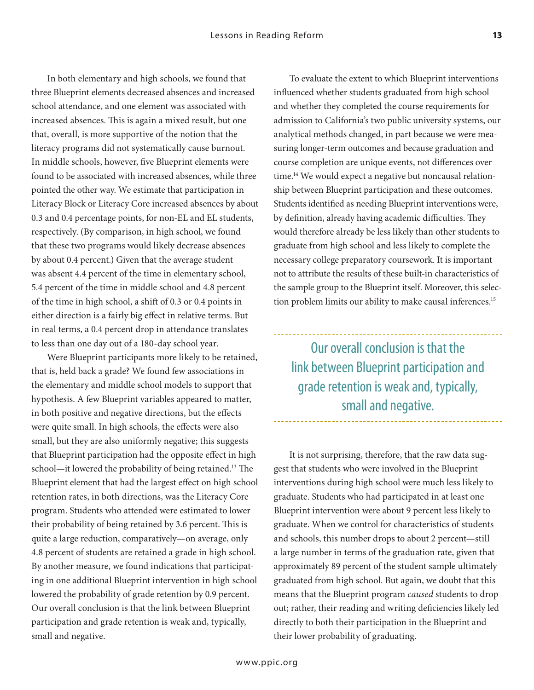In both elementary and high schools, we found that three Blueprint elements decreased absences and increased school attendance, and one element was associated with increased absences. This is again a mixed result, but one that, overall, is more supportive of the notion that the literacy programs did not systematically cause burnout. In middle schools, however, five Blueprint elements were found to be associated with increased absences, while three pointed the other way. We estimate that participation in Literacy Block or Literacy Core increased absences by about 0.3 and 0.4 percentage points, for non-EL and EL students, respectively. (By comparison, in high school, we found that these two programs would likely decrease absences by about 0.4 percent.) Given that the average student was absent 4.4 percent of the time in elementary school, 5.4 percent of the time in middle school and 4.8 percent of the time in high school, a shift of 0.3 or 0.4 points in either direction is a fairly big effect in relative terms. But in real terms, a 0.4 percent drop in attendance translates to less than one day out of a 180-day school year.

Were Blueprint participants more likely to be retained, that is, held back a grade? We found few associations in the elementary and middle school models to support that hypothesis. A few Blueprint variables appeared to matter, in both positive and negative directions, but the effects were quite small. In high schools, the effects were also small, but they are also uniformly negative; this suggests that Blueprint participation had the opposite effect in high school—it lowered the probability of being retained.13 The Blueprint element that had the largest effect on high school retention rates, in both directions, was the Literacy Core program. Students who attended were estimated to lower their probability of being retained by 3.6 percent. This is quite a large reduction, comparatively—on average, only 4.8 percent of students are retained a grade in high school. By another measure, we found indications that participating in one additional Blueprint intervention in high school lowered the probability of grade retention by 0.9 percent. Our overall conclusion is that the link between Blueprint participation and grade retention is weak and, typically, small and negative.

To evaluate the extent to which Blueprint interventions influenced whether students graduated from high school and whether they completed the course requirements for admission to California's two public university systems, our analytical methods changed, in part because we were measuring longer-term outcomes and because graduation and course completion are unique events, not differences over time.<sup>14</sup> We would expect a negative but noncausal relationship between Blueprint participation and these outcomes. Students identified as needing Blueprint interventions were, by definition, already having academic difficulties. They would therefore already be less likely than other students to graduate from high school and less likely to complete the necessary college preparatory coursework. It is important not to attribute the results of these built-in characteristics of the sample group to the Blueprint itself. Moreover, this selection problem limits our ability to make causal inferences.<sup>15</sup>

Our overall conclusion is that the link between Blueprint participation and grade retention is weak and, typically, small and negative.

It is not surprising, therefore, that the raw data suggest that students who were involved in the Blueprint interventions during high school were much less likely to graduate. Students who had participated in at least one Blueprint intervention were about 9 percent less likely to graduate. When we control for characteristics of students and schools, this number drops to about 2 percent—still a large number in terms of the graduation rate, given that approximately 89 percent of the student sample ultimately graduated from high school. But again, we doubt that this means that the Blueprint program *caused* students to drop out; rather, their reading and writing deficiencies likely led directly to both their participation in the Blueprint and their lower probability of graduating.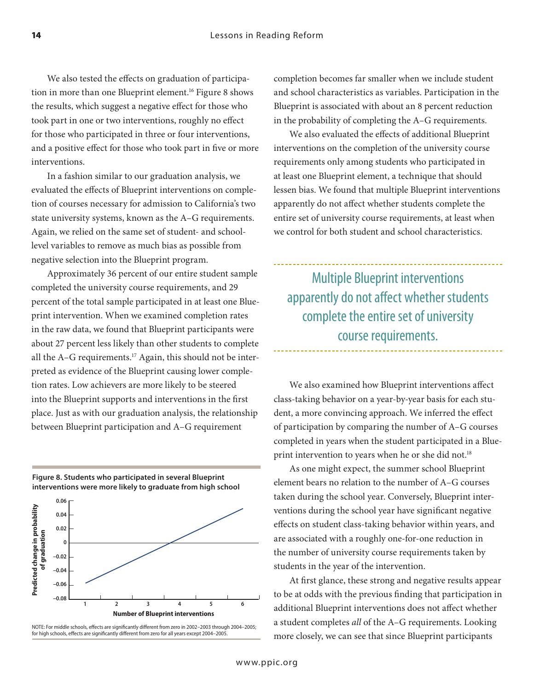We also tested the effects on graduation of participation in more than one Blueprint element.<sup>16</sup> Figure 8 shows the results, which suggest a negative effect for those who took part in one or two interventions, roughly no effect for those who participated in three or four interventions, and a positive effect for those who took part in five or more interventions.

In a fashion similar to our graduation analysis, we evaluated the effects of Blueprint interventions on completion of courses necessary for admission to California's two state university systems, known as the A–G requirements. Again, we relied on the same set of student- and schoollevel variables to remove as much bias as possible from negative selection into the Blueprint program.

Approximately 36 percent of our entire student sample completed the university course requirements, and 29 percent of the total sample participated in at least one Blueprint intervention. When we examined completion rates in the raw data, we found that Blueprint participants were about 27 percent less likely than other students to complete all the  $A-G$  requirements.<sup>17</sup> Again, this should not be interpreted as evidence of the Blueprint causing lower completion rates. Low achievers are more likely to be steered into the Blueprint supports and interventions in the first place. Just as with our graduation analysis, the relationship between Blueprint participation and A–G requirement

**Figure 8. Students who participated in several Blueprint interventions were more likely to graduate from high school**



NOTE: For middle schools, effects are significantly different from zero in 2002–2003 through 2004–2005; for high schools, effects are significantly different from zero for all years except 2004–2005.

completion becomes far smaller when we include student and school characteristics as variables. Participation in the Blueprint is associated with about an 8 percent reduction in the probability of completing the A–G requirements.

We also evaluated the effects of additional Blueprint interventions on the completion of the university course requirements only among students who participated in at least one Blueprint element, a technique that should lessen bias. We found that multiple Blueprint interventions apparently do not affect whether students complete the entire set of university course requirements, at least when we control for both student and school characteristics.

Multiple Blueprint interventions apparently do not affect whether students complete the entire set of university course requirements.

We also examined how Blueprint interventions affect class-taking behavior on a year-by-year basis for each student, a more convincing approach. We inferred the effect of participation by comparing the number of A–G courses completed in years when the student participated in a Blueprint intervention to years when he or she did not.<sup>18</sup>

As one might expect, the summer school Blueprint element bears no relation to the number of A–G courses taken during the school year. Conversely, Blueprint interventions during the school year have significant negative effects on student class-taking behavior within years, and are associated with a roughly one-for-one reduction in the number of university course requirements taken by students in the year of the intervention.

At first glance, these strong and negative results appear to be at odds with the previous finding that participation in additional Blueprint interventions does not affect whether a student completes *all* of the A–G requirements. Looking more closely, we can see that since Blueprint participants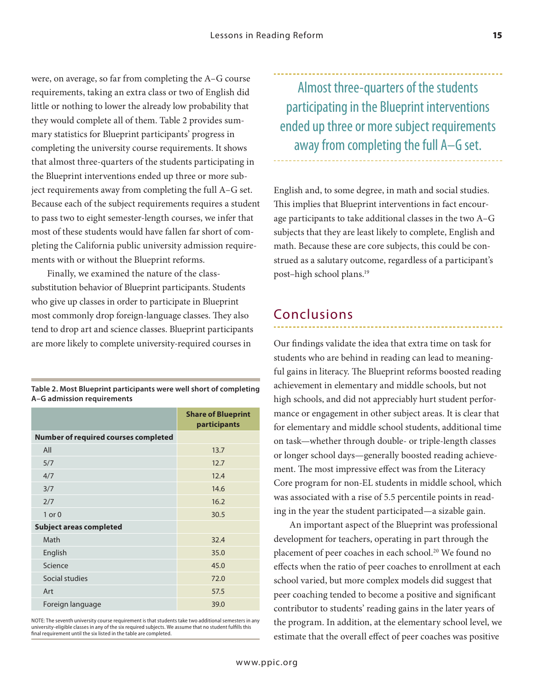were, on average, so far from completing the A–G course requirements, taking an extra class or two of English did little or nothing to lower the already low probability that they would complete all of them. Table 2 provides summary statistics for Blueprint participants' progress in completing the university course requirements. It shows that almost three-quarters of the students participating in the Blueprint interventions ended up three or more subject requirements away from completing the full A–G set. Because each of the subject requirements requires a student to pass two to eight semester-length courses, we infer that most of these students would have fallen far short of completing the California public university admission requirements with or without the Blueprint reforms.

Finally, we examined the nature of the classsubstitution behavior of Blueprint participants. Students who give up classes in order to participate in Blueprint most commonly drop foreign-language classes. They also tend to drop art and science classes. Blueprint participants are more likely to complete university-required courses in

**Table 2. Most Blueprint participants were well short of completing A–G admission requirements** 

|                                             | <b>Share of Blueprint</b><br>participants |
|---------------------------------------------|-------------------------------------------|
| <b>Number of required courses completed</b> |                                           |
| All                                         | 13.7                                      |
| 5/7                                         | 12.7                                      |
| 4/7                                         | 12.4                                      |
| 3/7                                         | 14.6                                      |
| 2/7                                         | 16.2                                      |
| $1$ or $0$                                  | 30.5                                      |
| <b>Subject areas completed</b>              |                                           |
| Math                                        | 32.4                                      |
| English                                     | 35.0                                      |
| Science                                     | 45.0                                      |
| Social studies                              | 72.0                                      |
| Art                                         | 57.5                                      |
| Foreign language                            | 39.0                                      |

NOTE: The seventh university course requirement is that students take two additional semesters in any university-eligible classes in any of the six required subjects. We assume that no student fulfills this final requirement until the six listed in the table are completed.

Almost three-quarters of the students participating in the Blueprint interventions ended up three or more subject requirements away from completing the full A–G set.

English and, to some degree, in math and social studies. This implies that Blueprint interventions in fact encourage participants to take additional classes in the two A–G subjects that they are least likely to complete, English and math. Because these are core subjects, this could be construed as a salutary outcome, regardless of a participant's post–high school plans.19

#### Conclusions

Our findings validate the idea that extra time on task for students who are behind in reading can lead to meaningful gains in literacy. The Blueprint reforms boosted reading achievement in elementary and middle schools, but not high schools, and did not appreciably hurt student performance or engagement in other subject areas. It is clear that for elementary and middle school students, additional time on task—whether through double- or triple-length classes or longer school days—generally boosted reading achievement. The most impressive effect was from the Literacy Core program for non-EL students in middle school, which was associated with a rise of 5.5 percentile points in reading in the year the student participated—a sizable gain.

An important aspect of the Blueprint was professional development for teachers, operating in part through the placement of peer coaches in each school.<sup>20</sup> We found no effects when the ratio of peer coaches to enrollment at each school varied, but more complex models did suggest that peer coaching tended to become a positive and significant contributor to students' reading gains in the later years of the program. In addition, at the elementary school level, we estimate that the overall effect of peer coaches was positive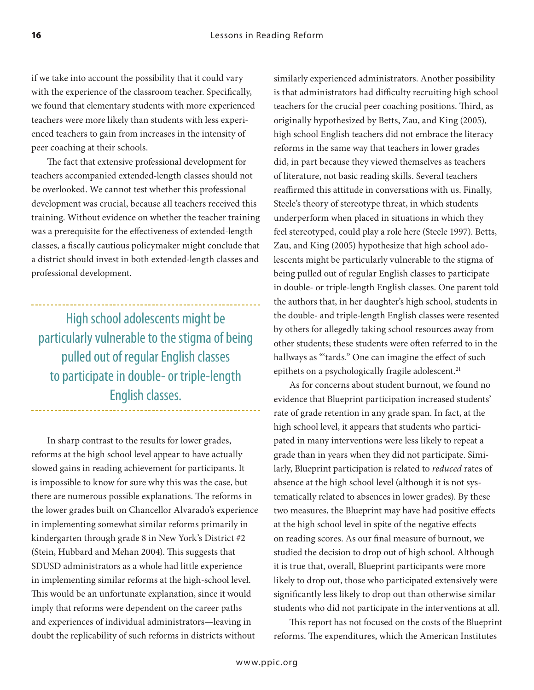if we take into account the possibility that it could vary with the experience of the classroom teacher. Specifically, we found that elementary students with more experienced teachers were more likely than students with less experienced teachers to gain from increases in the intensity of peer coaching at their schools.

The fact that extensive professional development for teachers accompanied extended-length classes should not be overlooked. We cannot test whether this professional development was crucial, because all teachers received this training. Without evidence on whether the teacher training was a prerequisite for the effectiveness of extended-length classes, a fiscally cautious policymaker might conclude that a district should invest in both extended-length classes and professional development.

High school adolescents might be particularly vulnerable to the stigma of being pulled out of regular English classes to participate in double- or triple-length English classes.

In sharp contrast to the results for lower grades, reforms at the high school level appear to have actually slowed gains in reading achievement for participants. It is impossible to know for sure why this was the case, but there are numerous possible explanations. The reforms in the lower grades built on Chancellor Alvarado's experience in implementing somewhat similar reforms primarily in kindergarten through grade 8 in New York's District #2 (Stein, Hubbard and Mehan 2004). This suggests that SDUSD administrators as a whole had little experience in implementing similar reforms at the high-school level. This would be an unfortunate explanation, since it would imply that reforms were dependent on the career paths and experiences of individual administrators—leaving in doubt the replicability of such reforms in districts without

similarly experienced administrators. Another possibility is that administrators had difficulty recruiting high school teachers for the crucial peer coaching positions. Third, as originally hypothesized by Betts, Zau, and King (2005), high school English teachers did not embrace the literacy reforms in the same way that teachers in lower grades did, in part because they viewed themselves as teachers of literature, not basic reading skills. Several teachers reaffirmed this attitude in conversations with us. Finally, Steele's theory of stereotype threat, in which students underperform when placed in situations in which they feel stereotyped, could play a role here (Steele 1997). Betts, Zau, and King (2005) hypothesize that high school adolescents might be particularly vulnerable to the stigma of being pulled out of regular English classes to participate in double- or triple-length English classes. One parent told the authors that, in her daughter's high school, students in the double- and triple-length English classes were resented by others for allegedly taking school resources away from other students; these students were often referred to in the hallways as "'tards." One can imagine the effect of such epithets on a psychologically fragile adolescent.<sup>21</sup>

As for concerns about student burnout, we found no evidence that Blueprint participation increased students' rate of grade retention in any grade span. In fact, at the high school level, it appears that students who participated in many interventions were less likely to repeat a grade than in years when they did not participate. Similarly, Blueprint participation is related to *reduced* rates of absence at the high school level (although it is not systematically related to absences in lower grades). By these two measures, the Blueprint may have had positive effects at the high school level in spite of the negative effects on reading scores. As our final measure of burnout, we studied the decision to drop out of high school. Although it is true that, overall, Blueprint participants were more likely to drop out, those who participated extensively were significantly less likely to drop out than otherwise similar students who did not participate in the interventions at all.

This report has not focused on the costs of the Blueprint reforms. The expenditures, which the American Institutes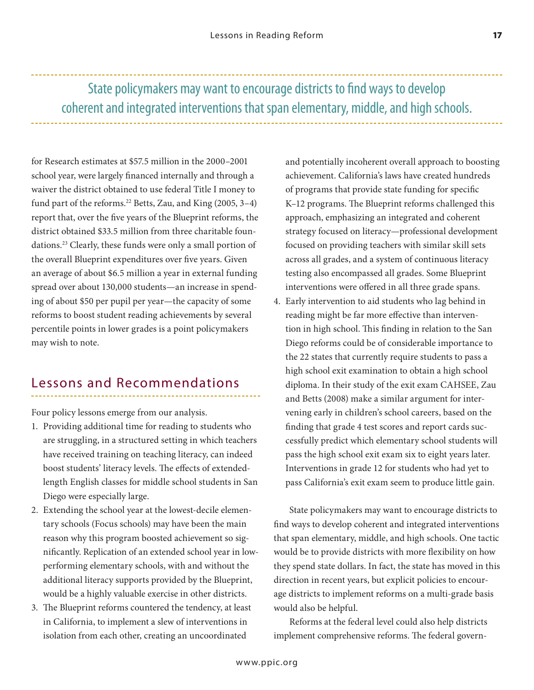for Research estimates at \$57.5 million in the 2000–2001 school year, were largely financed internally and through a waiver the district obtained to use federal Title I money to fund part of the reforms.<sup>22</sup> Betts, Zau, and King (2005, 3-4) report that, over the five years of the Blueprint reforms, the district obtained \$33.5 million from three charitable foundations.23 Clearly, these funds were only a small portion of the overall Blueprint expenditures over five years. Given an average of about \$6.5 million a year in external funding spread over about 130,000 students—an increase in spending of about \$50 per pupil per year—the capacity of some reforms to boost student reading achievements by several percentile points in lower grades is a point policymakers may wish to note.

## Lessons and Recommendations

Four policy lessons emerge from our analysis.

- 1. Providing additional time for reading to students who are struggling, in a structured setting in which teachers have received training on teaching literacy, can indeed boost students' literacy levels. The effects of extendedlength English classes for middle school students in San Diego were especially large.
- 2. Extending the school year at the lowest-decile elementary schools (Focus schools) may have been the main reason why this program boosted achievement so significantly. Replication of an extended school year in lowperforming elementary schools, with and without the additional literacy supports provided by the Blueprint, would be a highly valuable exercise in other districts.
- 3. The Blueprint reforms countered the tendency, at least in California, to implement a slew of interventions in isolation from each other, creating an uncoordinated

and potentially incoherent overall approach to boosting achievement. California's laws have created hundreds of programs that provide state funding for specific K–12 programs. The Blueprint reforms challenged this approach, emphasizing an integrated and coherent strategy focused on literacy—professional development focused on providing teachers with similar skill sets across all grades, and a system of continuous literacy testing also encompassed all grades. Some Blueprint interventions were offered in all three grade spans.

4. Early intervention to aid students who lag behind in reading might be far more effective than intervention in high school. This finding in relation to the San Diego reforms could be of considerable importance to the 22 states that currently require students to pass a high school exit examination to obtain a high school diploma. In their study of the exit exam CAHSEE, Zau and Betts (2008) make a similar argument for intervening early in children's school careers, based on the finding that grade 4 test scores and report cards successfully predict which elementary school students will pass the high school exit exam six to eight years later. Interventions in grade 12 for students who had yet to pass California's exit exam seem to produce little gain.

State policymakers may want to encourage districts to find ways to develop coherent and integrated interventions that span elementary, middle, and high schools. One tactic would be to provide districts with more flexibility on how they spend state dollars. In fact, the state has moved in this direction in recent years, but explicit policies to encourage districts to implement reforms on a multi-grade basis would also be helpful.

Reforms at the federal level could also help districts implement comprehensive reforms. The federal govern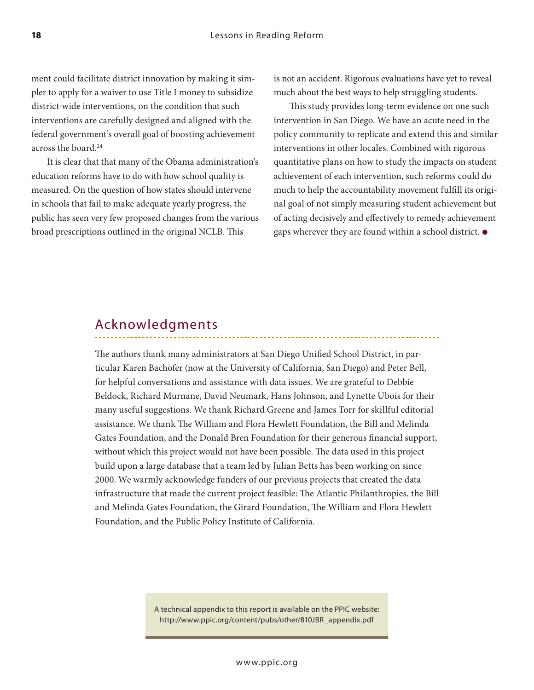ment could facilitate district innovation by making it simpler to apply for a waiver to use Title I money to subsidize district-wide interventions, on the condition that such interventions are carefully designed and aligned with the federal government's overall goal of boosting achievement across the board.24

It is clear that that many of the Obama administration's education reforms have to do with how school quality is measured. On the question of how states should intervene in schools that fail to make adequate yearly progress, the public has seen very few proposed changes from the various broad prescriptions outlined in the original NCLB. This

is not an accident. Rigorous evaluations have yet to reveal much about the best ways to help struggling students.

This study provides long-term evidence on one such intervention in San Diego. We have an acute need in the policy community to replicate and extend this and similar interventions in other locales. Combined with rigorous quantitative plans on how to study the impacts on student achievement of each intervention, such reforms could do much to help the accountability movement fulfill its original goal of not simply measuring student achievement but of acting decisively and effectively to remedy achievement gaps wherever they are found within a school district. ●

#### Acknowledgments

The authors thank many administrators at San Diego Unified School District, in particular Karen Bachofer (now at the University of California, San Diego) and Peter Bell, for helpful conversations and assistance with data issues. We are grateful to Debbie Beldock, Richard Murnane, David Neumark, Hans Johnson, and Lynette Ubois for their many useful suggestions. We thank Richard Greene and James Torr for skillful editorial assistance. We thank The William and Flora Hewlett Foundation, the Bill and Melinda Gates Foundation, and the Donald Bren Foundation for their generous financial support, without which this project would not have been possible. The data used in this project build upon a large database that a team led by Julian Betts has been working on since 2000. We warmly acknowledge funders of our previous projects that created the data infrastructure that made the current project feasible: The Atlantic Philanthropies, the Bill and Melinda Gates Foundation, the Girard Foundation, The William and Flora Hewlett Foundation, and the Public Policy Institute of California.

> A technical appendix to this report is available on the PPIC website: http://www.ppic.org/content/pubs/other/810JBR\_appendix.pdf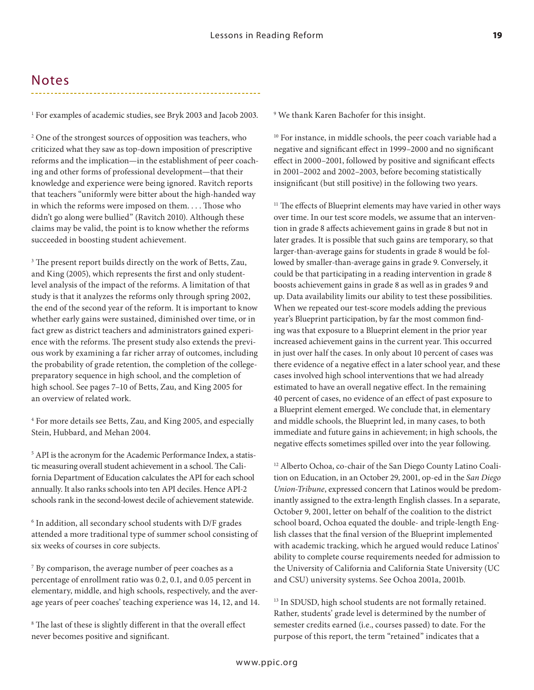#### Notes

1 For examples of academic studies, see Bryk 2003 and Jacob 2003.

2 One of the strongest sources of opposition was teachers, who criticized what they saw as top-down imposition of prescriptive reforms and the implication—in the establishment of peer coaching and other forms of professional development—that their knowledge and experience were being ignored. Ravitch reports that teachers "uniformly were bitter about the high-handed way in which the reforms were imposed on them. . . . Those who didn't go along were bullied" (Ravitch 2010). Although these claims may be valid, the point is to know whether the reforms succeeded in boosting student achievement.

<sup>3</sup> The present report builds directly on the work of Betts, Zau, and King (2005), which represents the first and only studentlevel analysis of the impact of the reforms. A limitation of that study is that it analyzes the reforms only through spring 2002, the end of the second year of the reform. It is important to know whether early gains were sustained, diminished over time, or in fact grew as district teachers and administrators gained experience with the reforms. The present study also extends the previous work by examining a far richer array of outcomes, including the probability of grade retention, the completion of the collegepreparatory sequence in high school, and the completion of high school. See pages 7–10 of Betts, Zau, and King 2005 for an overview of related work.

4 For more details see Betts, Zau, and King 2005, and especially Stein, Hubbard, and Mehan 2004.

5 API is the acronym for the Academic Performance Index, a statistic measuring overall student achievement in a school. The California Department of Education calculates the API for each school annually. It also ranks schools into ten API deciles. Hence API-2 schools rank in the second-lowest decile of achievement statewide.

6 In addition, all secondary school students with D/F grades attended a more traditional type of summer school consisting of six weeks of courses in core subjects.

7 By comparison, the average number of peer coaches as a percentage of enrollment ratio was 0.2, 0.1, and 0.05 percent in elementary, middle, and high schools, respectively, and the average years of peer coaches' teaching experience was 14, 12, and 14.

8 The last of these is slightly different in that the overall effect never becomes positive and significant.

9 We thank Karen Bachofer for this insight.

<sup>10</sup> For instance, in middle schools, the peer coach variable had a negative and significant effect in 1999–2000 and no significant effect in 2000–2001, followed by positive and significant effects in 2001–2002 and 2002–2003, before becoming statistically insignificant (but still positive) in the following two years.

<sup>11</sup> The effects of Blueprint elements may have varied in other ways over time. In our test score models, we assume that an intervention in grade 8 affects achievement gains in grade 8 but not in later grades. It is possible that such gains are temporary, so that larger-than-average gains for students in grade 8 would be followed by smaller-than-average gains in grade 9. Conversely, it could be that participating in a reading intervention in grade 8 boosts achievement gains in grade 8 as well as in grades 9 and up. Data availability limits our ability to test these possibilities. When we repeated our test-score models adding the previous year's Blueprint participation, by far the most common finding was that exposure to a Blueprint element in the prior year increased achievement gains in the current year. This occurred in just over half the cases. In only about 10 percent of cases was there evidence of a negative effect in a later school year, and these cases involved high school interventions that we had already estimated to have an overall negative effect. In the remaining 40 percent of cases, no evidence of an effect of past exposure to a Blueprint element emerged. We conclude that, in elementary and middle schools, the Blueprint led, in many cases, to both immediate and future gains in achievement; in high schools, the negative effects sometimes spilled over into the year following.

12 Alberto Ochoa, co-chair of the San Diego County Latino Coalition on Education, in an October 29, 2001, op-ed in the *San Diego Union-Tribune*, expressed concern that Latinos would be predominantly assigned to the extra-length English classes. In a separate, October 9, 2001, letter on behalf of the coalition to the district school board, Ochoa equated the double- and triple-length English classes that the final version of the Blueprint implemented with academic tracking, which he argued would reduce Latinos' ability to complete course requirements needed for admission to the University of California and California State University (UC and CSU) university systems. See Ochoa 2001a, 2001b.

<sup>13</sup> In SDUSD, high school students are not formally retained. Rather, students' grade level is determined by the number of semester credits earned (i.e., courses passed) to date. For the purpose of this report, the term "retained" indicates that a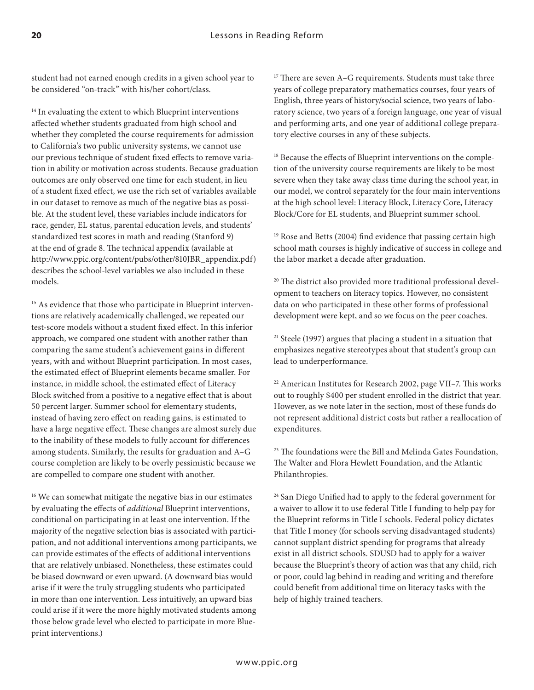student had not earned enough credits in a given school year to be considered "on-track" with his/her cohort/class.

<sup>14</sup> In evaluating the extent to which Blueprint interventions affected whether students graduated from high school and whether they completed the course requirements for admission to California's two public university systems, we cannot use our previous technique of student fixed effects to remove variation in ability or motivation across students. Because graduation outcomes are only observed one time for each student, in lieu of a student fixed effect, we use the rich set of variables available in our dataset to remove as much of the negative bias as possible. At the student level, these variables include indicators for race, gender, EL status, parental education levels, and students' standardized test scores in math and reading (Stanford 9) at the end of grade 8. The technical appendix (available at http://www.ppic.org/content/pubs/other/810JBR\_appendix.pdf) describes the school-level variables we also included in these models.

<sup>15</sup> As evidence that those who participate in Blueprint interventions are relatively academically challenged, we repeated our test-score models without a student fixed effect. In this inferior approach, we compared one student with another rather than comparing the same student's achievement gains in different years, with and without Blueprint participation. In most cases, the estimated effect of Blueprint elements became smaller. For instance, in middle school, the estimated effect of Literacy Block switched from a positive to a negative effect that is about 50 percent larger. Summer school for elementary students, instead of having zero effect on reading gains, is estimated to have a large negative effect. These changes are almost surely due to the inability of these models to fully account for differences among students. Similarly, the results for graduation and A–G course completion are likely to be overly pessimistic because we are compelled to compare one student with another.

<sup>16</sup> We can somewhat mitigate the negative bias in our estimates by evaluating the effects of *additional* Blueprint interventions, conditional on participating in at least one intervention. If the majority of the negative selection bias is associated with participation, and not additional interventions among participants, we can provide estimates of the effects of additional interventions that are relatively unbiased. Nonetheless, these estimates could be biased downward or even upward. (A downward bias would arise if it were the truly struggling students who participated in more than one intervention. Less intuitively, an upward bias could arise if it were the more highly motivated students among those below grade level who elected to participate in more Blueprint interventions.)

<sup>17</sup> There are seven A–G requirements. Students must take three years of college preparatory mathematics courses, four years of English, three years of history/social science, two years of laboratory science, two years of a foreign language, one year of visual and performing arts, and one year of additional college preparatory elective courses in any of these subjects.

<sup>18</sup> Because the effects of Blueprint interventions on the completion of the university course requirements are likely to be most severe when they take away class time during the school year, in our model, we control separately for the four main interventions at the high school level: Literacy Block, Literacy Core, Literacy Block/Core for EL students, and Blueprint summer school.

<sup>19</sup> Rose and Betts (2004) find evidence that passing certain high school math courses is highly indicative of success in college and the labor market a decade after graduation.

20 The district also provided more traditional professional development to teachers on literacy topics. However, no consistent data on who participated in these other forms of professional development were kept, and so we focus on the peer coaches.

 $21$  Steele (1997) argues that placing a student in a situation that emphasizes negative stereotypes about that student's group can lead to underperformance.

22 American Institutes for Research 2002, page VII–7. This works out to roughly \$400 per student enrolled in the district that year. However, as we note later in the section, most of these funds do not represent additional district costs but rather a reallocation of expenditures.

<sup>23</sup> The foundations were the Bill and Melinda Gates Foundation, The Walter and Flora Hewlett Foundation, and the Atlantic Philanthropies.

<sup>24</sup> San Diego Unified had to apply to the federal government for a waiver to allow it to use federal Title I funding to help pay for the Blueprint reforms in Title I schools. Federal policy dictates that Title I money (for schools serving disadvantaged students) cannot supplant district spending for programs that already exist in all district schools. SDUSD had to apply for a waiver because the Blueprint's theory of action was that any child, rich or poor, could lag behind in reading and writing and therefore could benefit from additional time on literacy tasks with the help of highly trained teachers.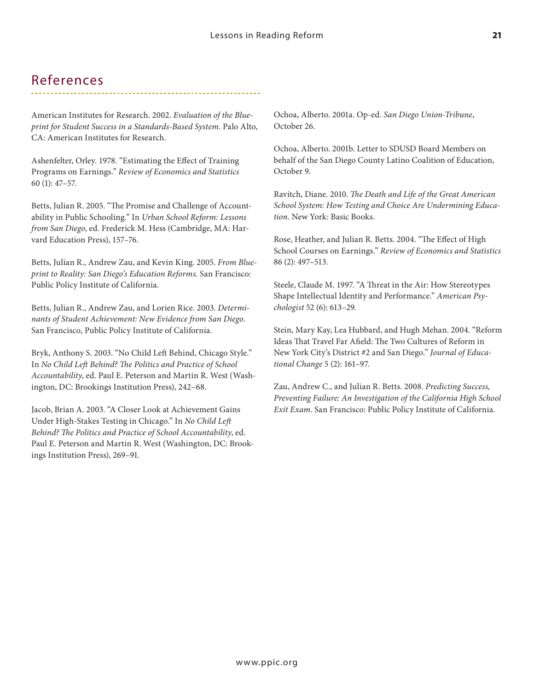#### References

American Institutes for Research. 2002. *Evaluation of the Blueprint for Student Success in a Standards-Based System*. Palo Alto, CA: American Institutes for Research.

Ashenfelter, Orley. 1978. "Estimating the Effect of Training Programs on Earnings." *Review of Economics and Statistics* 60 (1): 47–57.

Betts, Julian R. 2005. "The Promise and Challenge of Accountability in Public Schooling." In *Urban School Reform: Lessons from San Diego*, ed. Frederick M. Hess (Cambridge, MA: Harvard Education Press), 157–76.

Betts, Julian R., Andrew Zau, and Kevin King. 2005. *From Blueprint to Reality: San Diego's Education Reforms*. San Francisco: Public Policy Institute of California.

Betts, Julian R., Andrew Zau, and Lorien Rice. 2003. *Determinants of Student Achievement: New Evidence from San Diego*. San Francisco, Public Policy Institute of California.

Bryk, Anthony S. 2003. "No Child Left Behind, Chicago Style." In *No Child Left Behind? The Politics and Practice of School Accountability*, ed. Paul E. Peterson and Martin R. West (Washington, DC: Brookings Institution Press), 242–68.

Jacob, Brian A. 2003. "A Closer Look at Achievement Gains Under High-Stakes Testing in Chicago." In *No Child Left Behind? The Politics and Practice of School Accountability*, ed. Paul E. Peterson and Martin R. West (Washington, DC: Brookings Institution Press), 269–91.

Ochoa, Alberto. 2001a. Op-ed. *San Diego Union-Tribune*, October 26.

Ochoa, Alberto. 2001b. Letter to SDUSD Board Members on behalf of the San Diego County Latino Coalition of Education, October 9.

Ravitch, Diane. 2010. *The Death and Life of the Great American School System: How Testing and Choice Are Undermining Education*. New York: Basic Books.

Rose, Heather, and Julian R. Betts. 2004. "The Effect of High School Courses on Earnings." *Review of Economics and Statistics*  86 (2): 497–513.

Steele, Claude M. 1997. "A Threat in the Air: How Stereotypes Shape Intellectual Identity and Performance." *American Psychologist* 52 (6): 613–29.

Stein, Mary Kay, Lea Hubbard, and Hugh Mehan. 2004. "Reform Ideas That Travel Far Afield: The Two Cultures of Reform in New York City's District #2 and San Diego." *Journal of Educational Change* 5 (2): 161–97.

Zau, Andrew C., and Julian R. Betts. 2008. *Predicting Success, Preventing Failure: An Investigation of the California High School Exit Exam*. San Francisco: Public Policy Institute of California.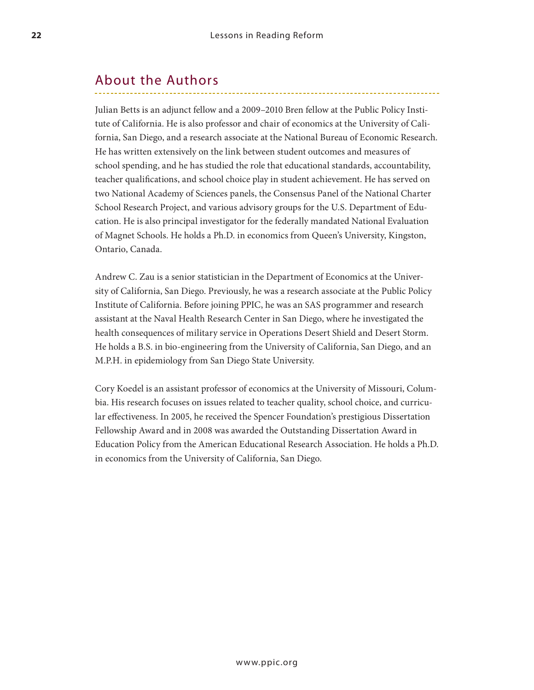#### About the Authors

Julian Betts is an adjunct fellow and a 2009–2010 Bren fellow at the Public Policy Institute of California. He is also professor and chair of economics at the University of California, San Diego, and a research associate at the National Bureau of Economic Research. He has written extensively on the link between student outcomes and measures of school spending, and he has studied the role that educational standards, accountability, teacher qualifications, and school choice play in student achievement. He has served on two National Academy of Sciences panels, the Consensus Panel of the National Charter School Research Project, and various advisory groups for the U.S. Department of Education. He is also principal investigator for the federally mandated National Evaluation of Magnet Schools. He holds a Ph.D. in economics from Queen's University, Kingston, Ontario, Canada.

Andrew C. Zau is a senior statistician in the Department of Economics at the University of California, San Diego. Previously, he was a research associate at the Public Policy Institute of California. Before joining PPIC, he was an SAS programmer and research assistant at the Naval Health Research Center in San Diego, where he investigated the health consequences of military service in Operations Desert Shield and Desert Storm. He holds a B.S. in bio-engineering from the University of California, San Diego, and an M.P.H. in epidemiology from San Diego State University.

Cory Koedel is an assistant professor of economics at the University of Missouri, Columbia. His research focuses on issues related to teacher quality, school choice, and curricular effectiveness. In 2005, he received the Spencer Foundation's prestigious Dissertation Fellowship Award and in 2008 was awarded the Outstanding Dissertation Award in Education Policy from the American Educational Research Association. He holds a Ph.D. in economics from the University of California, San Diego.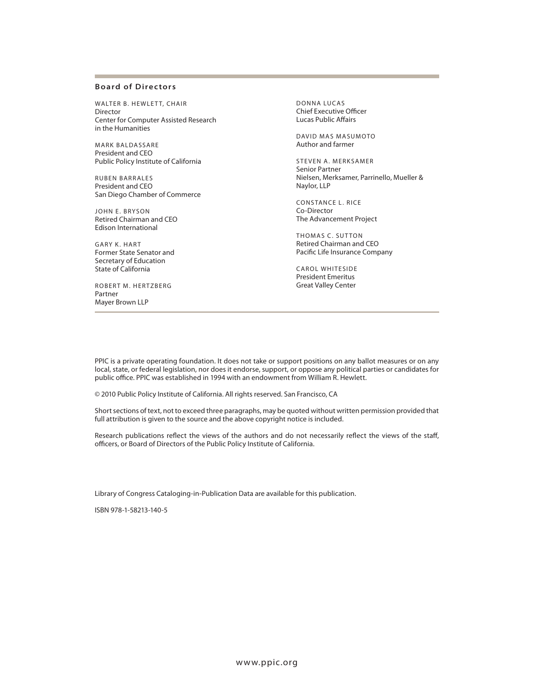#### **Board of Directors**

WALTER B. HEWLETT, CHAIR Director Center for Computer Assisted Research in the Humanities

MARK BALDASSARE President and CEO Public Policy Institute of California

RUBEN BARRALES President and CEO San Diego Chamber of Commerce

JOHN E. BRySON Retired Chairman and CEO Edison International

GARY K. HART Former State Senator and Secretary of Education State of California

ROBERT M. HERTZBERG Partner Mayer Brown LLP

DONNA LUCAS Chief Executive Officer Lucas Public Affairs

DAVID MAS MASUMOTO Author and farmer

STEVEN A. MERKSAMER Senior Partner Nielsen, Merksamer, Parrinello, Mueller & Naylor, LLP

CONSTANCE L. RICE Co-Director The Advancement Project

THOMAS C. SUTTON Retired Chairman and CEO Pacific Life Insurance Company

CAROL WHITESIDE President Emeritus Great valley Center

PPIC is a private operating foundation. It does not take or support positions on any ballot measures or on any local, state, or federal legislation, nor does it endorse, support, or oppose any political parties or candidates for public office. PPIC was established in 1994 with an endowment from William R. Hewlett.

© 2010 Public Policy Institute of California. All rights reserved. San Francisco, CA

Short sections of text, not to exceed three paragraphs, may be quoted without written permission provided that full attribution is given to the source and the above copyright notice is included.

Research publications reflect the views of the authors and do not necessarily reflect the views of the staff, officers, or Board of Directors of the Public Policy Institute of California.

Library of Congress Cataloging-in-Publication Data are available for this publication.

ISBN 978-1-58213-140-5